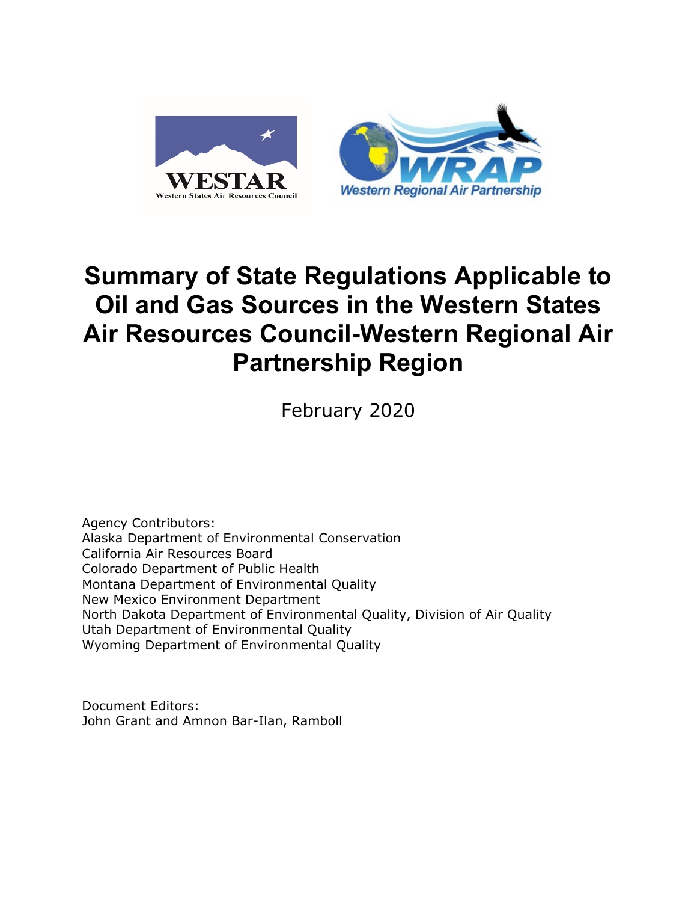

# **Summary of State Regulations Applicable to Oil and Gas Sources in the Western States Air Resources Council-Western Regional Air Partnership Region**

February 2020

Agency Contributors: Alaska Department of Environmental Conservation California Air Resources Board Colorado Department of Public Health Montana Department of Environmental Quality New Mexico Environment Department North Dakota Department of Environmental Quality, Division of Air Quality Utah Department of Environmental Quality Wyoming Department of Environmental Quality

Document Editors: John Grant and Amnon Bar-Ilan, Ramboll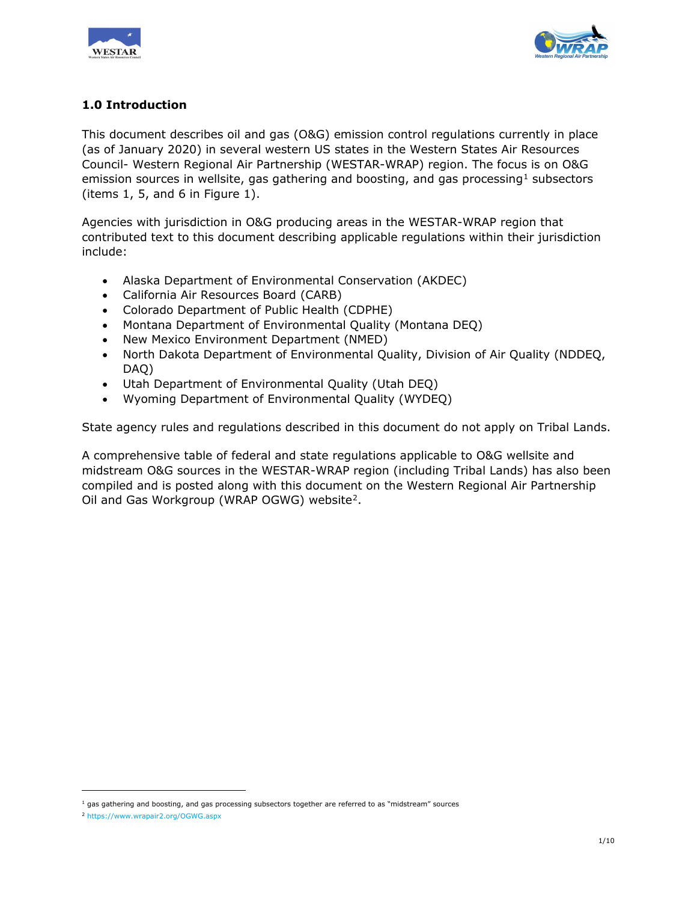



# **1.0 Introduction**

This document describes oil and gas (O&G) emission control regulations currently in place (as of January 2020) in several western US states in the Western States Air Resources Council- Western Regional Air Partnership (WESTAR-WRAP) region. The focus is on O&G emission sources in wellsite, gas gathering and boosting, and gas processing<sup>[1](#page-1-0)</sup> subsectors (items 1, 5, and 6 in Figure 1).

Agencies with jurisdiction in O&G producing areas in the WESTAR-WRAP region that contributed text to this document describing applicable regulations within their jurisdiction include:

- Alaska Department of Environmental Conservation (AKDEC)
- California Air Resources Board (CARB)
- Colorado Department of Public Health (CDPHE)
- Montana Department of Environmental Quality (Montana DEQ)
- New Mexico Environment Department (NMED)
- North Dakota Department of Environmental Quality, Division of Air Quality (NDDEQ, DAQ)
- Utah Department of Environmental Quality (Utah DEQ)
- Wyoming Department of Environmental Quality (WYDEQ)

State agency rules and regulations described in this document do not apply on Tribal Lands.

A comprehensive table of federal and state regulations applicable to O&G wellsite and midstream O&G sources in the WESTAR-WRAP region (including Tribal Lands) has also been compiled and is posted along with this document on the Western Regional Air Partnership Oil and Gas Workgroup (WRAP OGWG) website[2](#page-1-1).

i,

<span id="page-1-0"></span> $<sup>1</sup>$  gas gathering and boosting, and gas processing subsectors together are referred to as "midstream" sources</sup>

<span id="page-1-1"></span><sup>2</sup> <https://www.wrapair2.org/OGWG.aspx>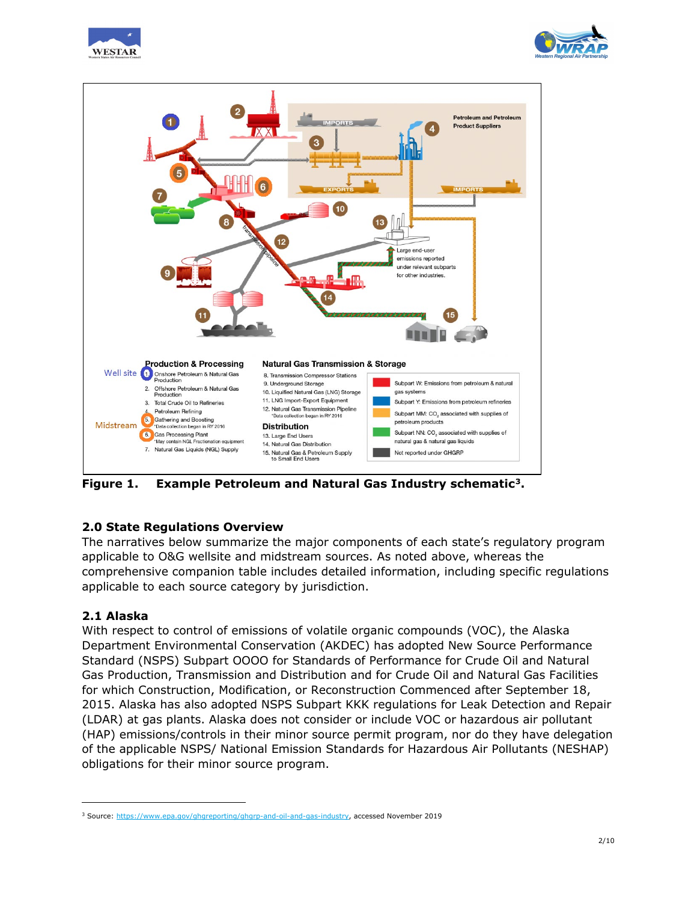





**Figure 1. Example Petroleum and Natural Gas Industry schematic[3.](#page-2-0)**

# **2.0 State Regulations Overview**

The narratives below summarize the major components of each state's regulatory program applicable to O&G wellsite and midstream sources. As noted above, whereas the comprehensive companion table includes detailed information, including specific regulations applicable to each source category by jurisdiction.

# **2.1 Alaska**

i,

With respect to control of emissions of volatile organic compounds (VOC), the Alaska Department Environmental Conservation (AKDEC) has adopted New Source Performance Standard (NSPS) Subpart OOOO for Standards of Performance for Crude Oil and Natural Gas Production, Transmission and Distribution and for Crude Oil and Natural Gas Facilities for which Construction, Modification, or Reconstruction Commenced after September 18, 2015. Alaska has also adopted NSPS Subpart KKK regulations for Leak Detection and Repair (LDAR) at gas plants. Alaska does not consider or include VOC or hazardous air pollutant (HAP) emissions/controls in their minor source permit program, nor do they have delegation of the applicable NSPS/ National Emission Standards for Hazardous Air Pollutants (NESHAP) obligations for their minor source program.

<span id="page-2-0"></span><sup>3</sup> Source[: https://www.epa.gov/ghgreporting/ghgrp-and-oil-and-gas-industry,](https://www.epa.gov/ghgreporting/ghgrp-and-oil-and-gas-industry) accessed November 2019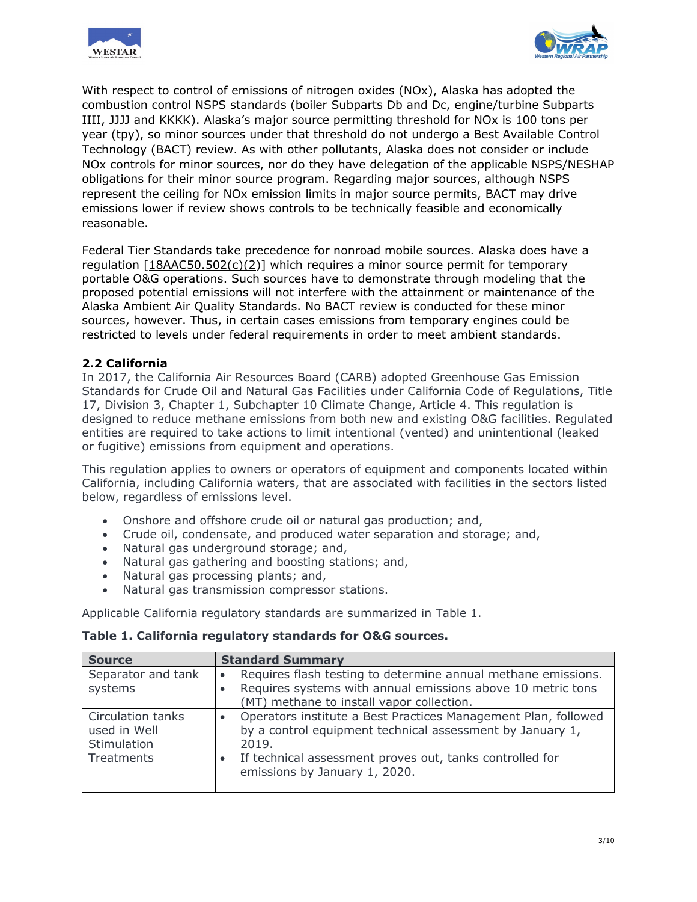



With respect to control of emissions of nitrogen oxides (NOx), Alaska has adopted the combustion control NSPS standards (boiler Subparts Db and Dc, engine/turbine Subparts IIII, JJJJ and KKKK). Alaska's major source permitting threshold for NOx is 100 tons per year (tpy), so minor sources under that threshold do not undergo a Best Available Control Technology (BACT) review. As with other pollutants, Alaska does not consider or include NOx controls for minor sources, nor do they have delegation of the applicable NSPS/NESHAP obligations for their minor source program. Regarding major sources, although NSPS represent the ceiling for NOx emission limits in major source permits, BACT may drive emissions lower if review shows controls to be technically feasible and economically reasonable.

Federal Tier Standards take precedence for nonroad mobile sources. Alaska does have a regulation [18AAC50.502(c)(2)] which requires a minor source permit for temporary portable O&G operations. Such sources have to demonstrate through modeling that the proposed potential emissions will not interfere with the attainment or maintenance of the Alaska Ambient Air Quality Standards. No BACT review is conducted for these minor sources, however. Thus, in certain cases emissions from temporary engines could be restricted to levels under federal requirements in order to meet ambient standards.

# **2.2 California**

In 2017, the California Air Resources Board (CARB) adopted Greenhouse Gas Emission Standards for Crude Oil and Natural Gas Facilities under California Code of Regulations, Title 17, Division 3, Chapter 1, Subchapter 10 Climate Change, Article 4. This regulation is designed to reduce methane emissions from both new and existing O&G facilities. Regulated entities are required to take actions to limit intentional (vented) and unintentional (leaked or fugitive) emissions from equipment and operations.

This regulation applies to owners or operators of equipment and components located within California, including California waters, that are associated with facilities in the sectors listed below, regardless of emissions level.

- Onshore and offshore crude oil or natural gas production; and,
- Crude oil, condensate, and produced water separation and storage; and,
- Natural gas underground storage; and,
- Natural gas gathering and boosting stations; and,
- Natural gas processing plants; and,
- Natural gas transmission compressor stations.

Applicable California regulatory standards are summarized in Table 1.

#### **Table 1. California regulatory standards for O&G sources.**

| <b>Source</b>                                                  | <b>Standard Summary</b>                                                                                                                                                                                                                                     |
|----------------------------------------------------------------|-------------------------------------------------------------------------------------------------------------------------------------------------------------------------------------------------------------------------------------------------------------|
| Separator and tank<br>systems                                  | Requires flash testing to determine annual methane emissions.<br>Requires systems with annual emissions above 10 metric tons<br>(MT) methane to install vapor collection.                                                                                   |
| Circulation tanks<br>used in Well<br>Stimulation<br>Treatments | Operators institute a Best Practices Management Plan, followed<br>$\bullet$<br>by a control equipment technical assessment by January 1,<br>2019.<br>If technical assessment proves out, tanks controlled for<br>$\bullet$<br>emissions by January 1, 2020. |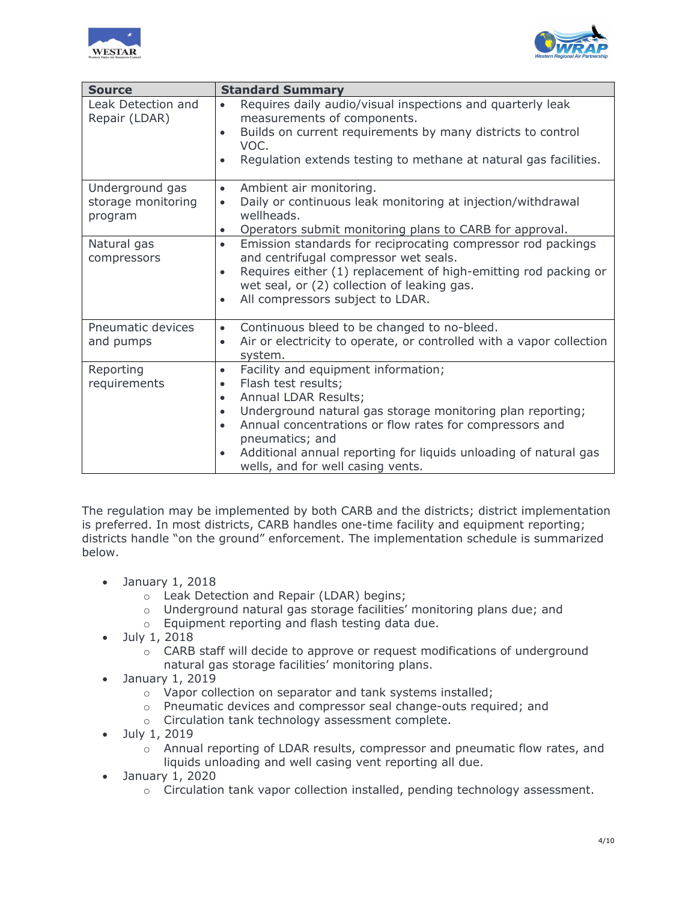



| <b>Source</b>                       | <b>Standard Summary</b>                                                                                                                                               |
|-------------------------------------|-----------------------------------------------------------------------------------------------------------------------------------------------------------------------|
| Leak Detection and<br>Repair (LDAR) | Requires daily audio/visual inspections and quarterly leak<br>$\bullet$<br>measurements of components.<br>Builds on current requirements by many districts to control |
|                                     | VOC.                                                                                                                                                                  |
|                                     | Regulation extends testing to methane at natural gas facilities.<br>$\bullet$                                                                                         |
| Underground gas                     | Ambient air monitoring.<br>$\bullet$                                                                                                                                  |
| storage monitoring<br>program       | Daily or continuous leak monitoring at injection/withdrawal<br>$\bullet$<br>wellheads.                                                                                |
|                                     | Operators submit monitoring plans to CARB for approval.<br>$\bullet$                                                                                                  |
| Natural gas<br>compressors          | Emission standards for reciprocating compressor rod packings<br>$\bullet$<br>and centrifugal compressor wet seals.                                                    |
|                                     | Requires either (1) replacement of high-emitting rod packing or<br>$\bullet$<br>wet seal, or (2) collection of leaking gas.                                           |
|                                     | All compressors subject to LDAR.<br>$\bullet$                                                                                                                         |
| Pneumatic devices                   | Continuous bleed to be changed to no-bleed.<br>$\bullet$                                                                                                              |
| and pumps                           | Air or electricity to operate, or controlled with a vapor collection<br>$\bullet$<br>system.                                                                          |
| Reporting                           | Facility and equipment information;<br>$\bullet$                                                                                                                      |
| requirements                        | Flash test results;<br>$\bullet$                                                                                                                                      |
|                                     | Annual LDAR Results;<br>$\bullet$                                                                                                                                     |
|                                     | Underground natural gas storage monitoring plan reporting;<br>$\bullet$                                                                                               |
|                                     | Annual concentrations or flow rates for compressors and<br>$\bullet$<br>pneumatics; and                                                                               |
|                                     | Additional annual reporting for liquids unloading of natural gas<br>wells, and for well casing vents.                                                                 |

The regulation may be implemented by both CARB and the districts; district implementation is preferred. In most districts, CARB handles one-time facility and equipment reporting; districts handle "on the ground" enforcement. The implementation schedule is summarized below.

- January 1, 2018
	- o Leak Detection and Repair (LDAR) begins;
	- o Underground natural gas storage facilities' monitoring plans due; and
	- o Equipment reporting and flash testing data due.
- July 1, 2018
	- o CARB staff will decide to approve or request modifications of underground natural gas storage facilities' monitoring plans.
- January 1, 2019
	- o Vapor collection on separator and tank systems installed;
	- $\circ$  Pneumatic devices and compressor seal change-outs required; and
	- o Circulation tank technology assessment complete.
- July 1, 2019
	- o Annual reporting of LDAR results, compressor and pneumatic flow rates, and liquids unloading and well casing vent reporting all due.
- January 1, 2020
	- o Circulation tank vapor collection installed, pending technology assessment.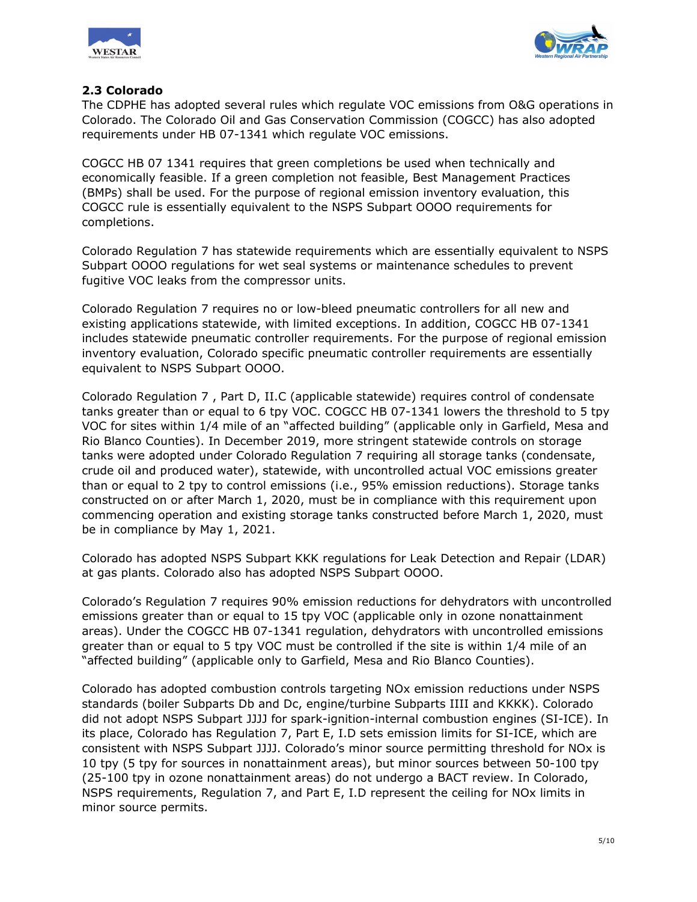



# **2.3 Colorado**

The CDPHE has adopted several rules which regulate VOC emissions from O&G operations in Colorado. The Colorado Oil and Gas Conservation Commission (COGCC) has also adopted requirements under HB 07-1341 which regulate VOC emissions.

COGCC HB 07 1341 requires that green completions be used when technically and economically feasible. If a green completion not feasible, Best Management Practices (BMPs) shall be used. For the purpose of regional emission inventory evaluation, this COGCC rule is essentially equivalent to the NSPS Subpart OOOO requirements for completions.

Colorado Regulation 7 has statewide requirements which are essentially equivalent to NSPS Subpart OOOO regulations for wet seal systems or maintenance schedules to prevent fugitive VOC leaks from the compressor units.

Colorado Regulation 7 requires no or low-bleed pneumatic controllers for all new and existing applications statewide, with limited exceptions. In addition, COGCC HB 07-1341 includes statewide pneumatic controller requirements. For the purpose of regional emission inventory evaluation, Colorado specific pneumatic controller requirements are essentially equivalent to NSPS Subpart OOOO.

Colorado Regulation 7 , Part D, II.C (applicable statewide) requires control of condensate tanks greater than or equal to 6 tpy VOC. COGCC HB 07-1341 lowers the threshold to 5 tpy VOC for sites within 1/4 mile of an "affected building" (applicable only in Garfield, Mesa and Rio Blanco Counties). In December 2019, more stringent statewide controls on storage tanks were adopted under Colorado Regulation 7 requiring all storage tanks (condensate, crude oil and produced water), statewide, with uncontrolled actual VOC emissions greater than or equal to 2 tpy to control emissions (i.e., 95% emission reductions). Storage tanks constructed on or after March 1, 2020, must be in compliance with this requirement upon commencing operation and existing storage tanks constructed before March 1, 2020, must be in compliance by May 1, 2021.

Colorado has adopted NSPS Subpart KKK regulations for Leak Detection and Repair (LDAR) at gas plants. Colorado also has adopted NSPS Subpart OOOO.

Colorado's Regulation 7 requires 90% emission reductions for dehydrators with uncontrolled emissions greater than or equal to 15 tpy VOC (applicable only in ozone nonattainment areas). Under the COGCC HB 07-1341 regulation, dehydrators with uncontrolled emissions greater than or equal to 5 tpy VOC must be controlled if the site is within 1/4 mile of an "affected building" (applicable only to Garfield, Mesa and Rio Blanco Counties).

Colorado has adopted combustion controls targeting NOx emission reductions under NSPS standards (boiler Subparts Db and Dc, engine/turbine Subparts IIII and KKKK). Colorado did not adopt NSPS Subpart JJJJ for spark-ignition-internal combustion engines (SI-ICE). In its place, Colorado has Regulation 7, Part E, I.D sets emission limits for SI-ICE, which are consistent with NSPS Subpart JJJJ. Colorado's minor source permitting threshold for NOx is 10 tpy (5 tpy for sources in nonattainment areas), but minor sources between 50-100 tpy (25-100 tpy in ozone nonattainment areas) do not undergo a BACT review. In Colorado, NSPS requirements, Regulation 7, and Part E, I.D represent the ceiling for NOx limits in minor source permits.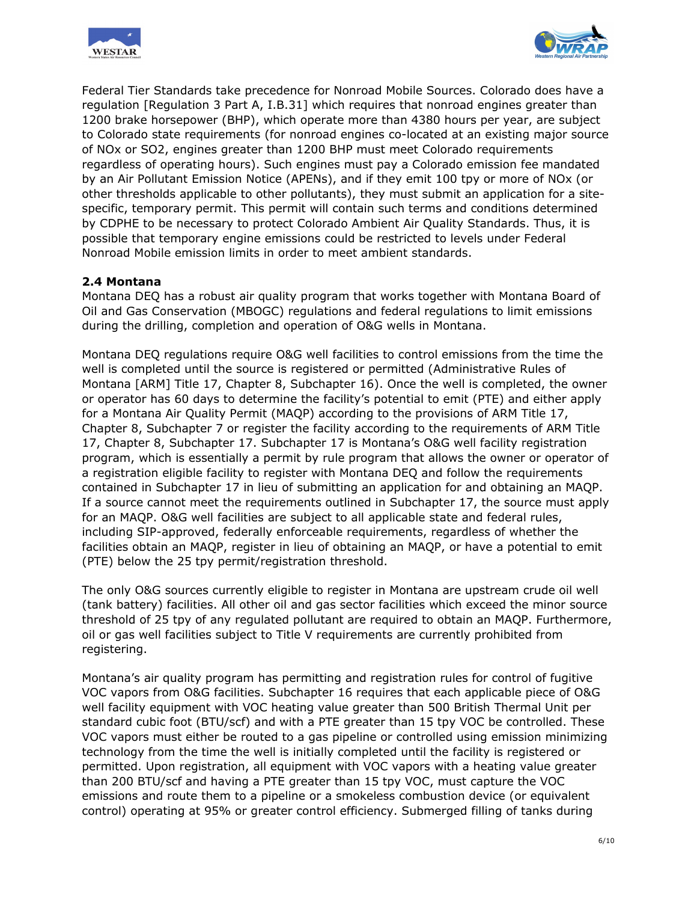



Federal Tier Standards take precedence for Nonroad Mobile Sources. Colorado does have a regulation [Regulation 3 Part A, I.B.31] which requires that nonroad engines greater than 1200 brake horsepower (BHP), which operate more than 4380 hours per year, are subject to Colorado state requirements (for nonroad engines co-located at an existing major source of NOx or SO2, engines greater than 1200 BHP must meet Colorado requirements regardless of operating hours). Such engines must pay a Colorado emission fee mandated by an Air Pollutant Emission Notice (APENs), and if they emit 100 tpy or more of NOx (or other thresholds applicable to other pollutants), they must submit an application for a sitespecific, temporary permit. This permit will contain such terms and conditions determined by CDPHE to be necessary to protect Colorado Ambient Air Quality Standards. Thus, it is possible that temporary engine emissions could be restricted to levels under Federal Nonroad Mobile emission limits in order to meet ambient standards.

#### **2.4 Montana**

Montana DEQ has a robust air quality program that works together with Montana Board of Oil and Gas Conservation (MBOGC) regulations and federal regulations to limit emissions during the drilling, completion and operation of O&G wells in Montana.

Montana DEQ regulations require O&G well facilities to control emissions from the time the well is completed until the source is registered or permitted (Administrative Rules of Montana [ARM] Title 17, Chapter 8, Subchapter 16). Once the well is completed, the owner or operator has 60 days to determine the facility's potential to emit (PTE) and either apply for a Montana Air Quality Permit (MAQP) according to the provisions of ARM Title 17, Chapter 8, Subchapter 7 or register the facility according to the requirements of ARM Title 17, Chapter 8, Subchapter 17. Subchapter 17 is Montana's O&G well facility registration program, which is essentially a permit by rule program that allows the owner or operator of a registration eligible facility to register with Montana DEQ and follow the requirements contained in Subchapter 17 in lieu of submitting an application for and obtaining an MAQP. If a source cannot meet the requirements outlined in Subchapter 17, the source must apply for an MAQP. O&G well facilities are subject to all applicable state and federal rules, including SIP-approved, federally enforceable requirements, regardless of whether the facilities obtain an MAQP, register in lieu of obtaining an MAQP, or have a potential to emit (PTE) below the 25 tpy permit/registration threshold.

The only O&G sources currently eligible to register in Montana are upstream crude oil well (tank battery) facilities. All other oil and gas sector facilities which exceed the minor source threshold of 25 tpy of any regulated pollutant are required to obtain an MAQP. Furthermore, oil or gas well facilities subject to Title V requirements are currently prohibited from registering.

Montana's air quality program has permitting and registration rules for control of fugitive VOC vapors from O&G facilities. Subchapter 16 requires that each applicable piece of O&G well facility equipment with VOC heating value greater than 500 British Thermal Unit per standard cubic foot (BTU/scf) and with a PTE greater than 15 tpy VOC be controlled. These VOC vapors must either be routed to a gas pipeline or controlled using emission minimizing technology from the time the well is initially completed until the facility is registered or permitted. Upon registration, all equipment with VOC vapors with a heating value greater than 200 BTU/scf and having a PTE greater than 15 tpy VOC, must capture the VOC emissions and route them to a pipeline or a smokeless combustion device (or equivalent control) operating at 95% or greater control efficiency. Submerged filling of tanks during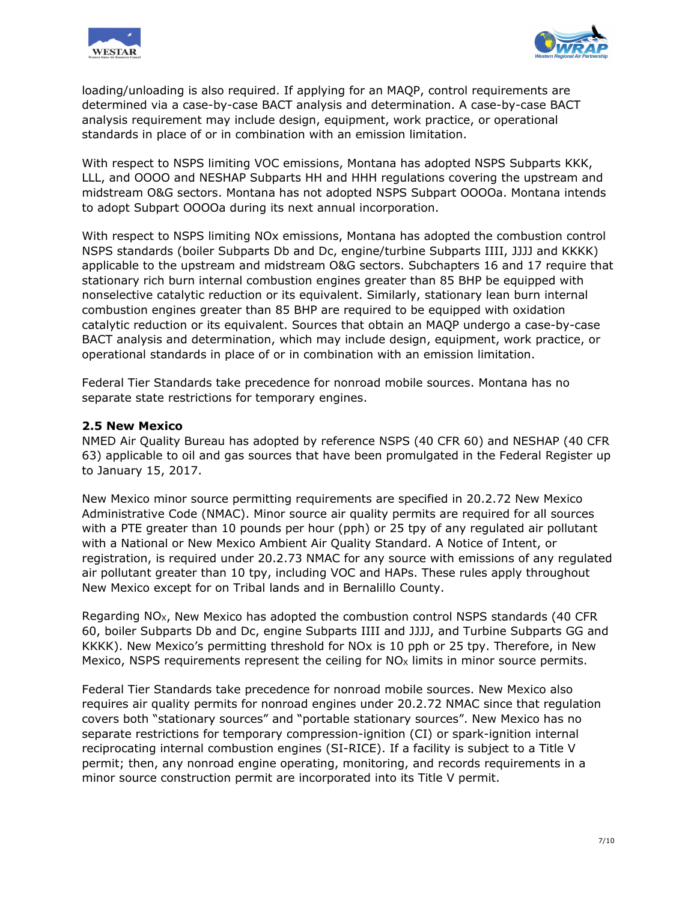



loading/unloading is also required. If applying for an MAQP, control requirements are determined via a case-by-case BACT analysis and determination. A case-by-case BACT analysis requirement may include design, equipment, work practice, or operational standards in place of or in combination with an emission limitation.

With respect to NSPS limiting VOC emissions, Montana has adopted NSPS Subparts KKK, LLL, and OOOO and NESHAP Subparts HH and HHH regulations covering the upstream and midstream O&G sectors. Montana has not adopted NSPS Subpart OOOOa. Montana intends to adopt Subpart OOOOa during its next annual incorporation.

With respect to NSPS limiting NOx emissions, Montana has adopted the combustion control NSPS standards (boiler Subparts Db and Dc, engine/turbine Subparts IIII, JJJJ and KKKK) applicable to the upstream and midstream O&G sectors. Subchapters 16 and 17 require that stationary rich burn internal combustion engines greater than 85 BHP be equipped with nonselective catalytic reduction or its equivalent. Similarly, stationary lean burn internal combustion engines greater than 85 BHP are required to be equipped with oxidation catalytic reduction or its equivalent. Sources that obtain an MAQP undergo a case-by-case BACT analysis and determination, which may include design, equipment, work practice, or operational standards in place of or in combination with an emission limitation.

Federal Tier Standards take precedence for nonroad mobile sources. Montana has no separate state restrictions for temporary engines.

#### **2.5 New Mexico**

NMED Air Quality Bureau has adopted by reference NSPS (40 CFR 60) and NESHAP (40 CFR 63) applicable to oil and gas sources that have been promulgated in the Federal Register up to January 15, 2017.

New Mexico minor source permitting requirements are specified in 20.2.72 New Mexico Administrative Code (NMAC). Minor source air quality permits are required for all sources with a PTE greater than 10 pounds per hour (pph) or 25 tpy of any regulated air pollutant with a National or New Mexico Ambient Air Quality Standard. A Notice of Intent, or registration, is required under 20.2.73 NMAC for any source with emissions of any regulated air pollutant greater than 10 tpy, including VOC and HAPs. These rules apply throughout New Mexico except for on Tribal lands and in Bernalillo County.

Regarding  $NO<sub>x</sub>$ , New Mexico has adopted the combustion control NSPS standards (40 CFR 60, boiler Subparts Db and Dc, engine Subparts IIII and JJJJ, and Turbine Subparts GG and KKKK). New Mexico's permitting threshold for NOx is 10 pph or 25 tpy. Therefore, in New Mexico, NSPS requirements represent the ceiling for  $NO_X$  limits in minor source permits.

Federal Tier Standards take precedence for nonroad mobile sources. New Mexico also requires air quality permits for nonroad engines under 20.2.72 NMAC since that regulation covers both "stationary sources" and "portable stationary sources". New Mexico has no separate restrictions for temporary compression-ignition (CI) or spark-ignition internal reciprocating internal combustion engines (SI-RICE). If a facility is subject to a Title V permit; then, any nonroad engine operating, monitoring, and records requirements in a minor source construction permit are incorporated into its Title V permit.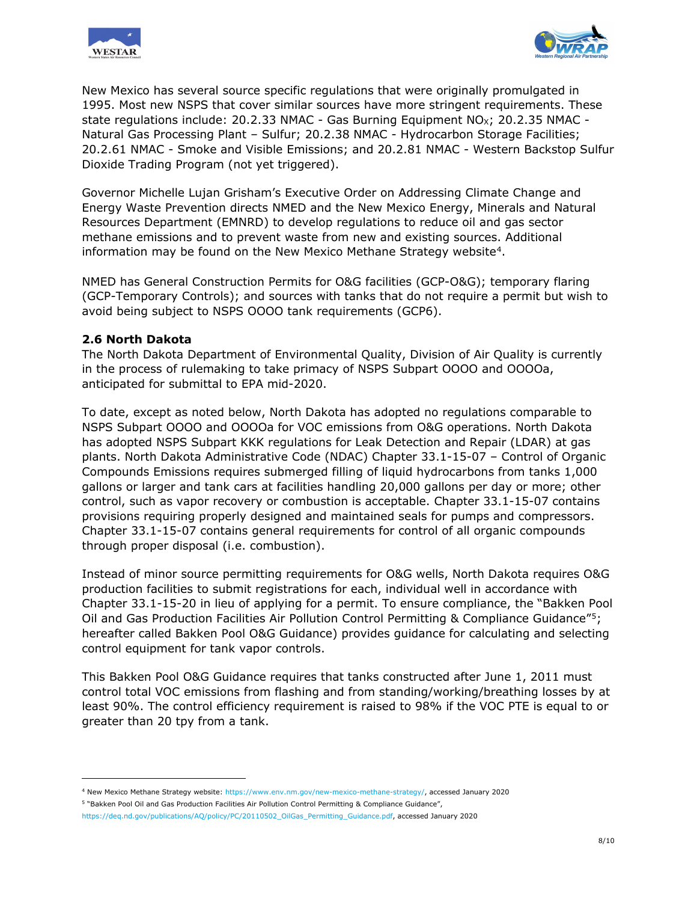



New Mexico has several source specific regulations that were originally promulgated in 1995. Most new NSPS that cover similar sources have more stringent requirements. These state regulations include: 20.2.33 NMAC - Gas Burning Equipment  $NO<sub>X</sub>$ ; 20.2.35 NMAC -Natural Gas Processing Plant – Sulfur; 20.2.38 NMAC - Hydrocarbon Storage Facilities; 20.2.61 NMAC - Smoke and Visible Emissions; and 20.2.81 NMAC - Western Backstop Sulfur Dioxide Trading Program (not yet triggered).

Governor Michelle Lujan Grisham's Executive Order on Addressing Climate Change and Energy Waste Prevention directs NMED and the New Mexico Energy, Minerals and Natural Resources Department (EMNRD) to develop regulations to reduce oil and gas sector methane emissions and to prevent waste from new and existing sources. Additional information may be found on the New Mexico Methane Strategy website<sup>4</sup>.

NMED has General Construction Permits for O&G facilities (GCP-O&G); temporary flaring (GCP-Temporary Controls); and sources with tanks that do not require a permit but wish to avoid being subject to NSPS OOOO tank requirements (GCP6).

#### **2.6 North Dakota**

i,

The North Dakota Department of Environmental Quality, Division of Air Quality is currently in the process of rulemaking to take primacy of NSPS Subpart OOOO and OOOOa, anticipated for submittal to EPA mid-2020.

To date, except as noted below, North Dakota has adopted no regulations comparable to NSPS Subpart OOOO and OOOOa for VOC emissions from O&G operations. North Dakota has adopted NSPS Subpart KKK regulations for Leak Detection and Repair (LDAR) at gas plants. North Dakota Administrative Code (NDAC) Chapter 33.1-15-07 – Control of Organic Compounds Emissions requires submerged filling of liquid hydrocarbons from tanks 1,000 gallons or larger and tank cars at facilities handling 20,000 gallons per day or more; other control, such as vapor recovery or combustion is acceptable. Chapter 33.1-15-07 contains provisions requiring properly designed and maintained seals for pumps and compressors. Chapter 33.1-15-07 contains general requirements for control of all organic compounds through proper disposal (i.e. combustion).

Instead of minor source permitting requirements for O&G wells, North Dakota requires O&G production facilities to submit registrations for each, individual well in accordance with Chapter 33.1-15-20 in lieu of applying for a permit. To ensure compliance, the "Bakken Pool Oil and Gas Production Facilities Air Pollution Control Permitting & Compliance Guidance"[5](#page-8-1); hereafter called Bakken Pool O&G Guidance) provides guidance for calculating and selecting control equipment for tank vapor controls.

This Bakken Pool O&G Guidance requires that tanks constructed after June 1, 2011 must control total VOC emissions from flashing and from standing/working/breathing losses by at least 90%. The control efficiency requirement is raised to 98% if the VOC PTE is equal to or greater than 20 tpy from a tank.

<span id="page-8-0"></span><sup>4</sup> New Mexico Methane Strategy website: [https://www.env.nm.gov/new-mexico-methane-strategy/,](https://www.env.nm.gov/new-mexico-methane-strategy/) accessed January 2020

<span id="page-8-1"></span><sup>5</sup> "Bakken Pool Oil and Gas Production Facilities Air Pollution Control Permitting & Compliance Guidance",

[https://deq.nd.gov/publications/AQ/policy/PC/20110502\\_OilGas\\_Permitting\\_Guidance.pdf,](https://deq.nd.gov/publications/AQ/policy/PC/20110502_OilGas_Permitting_Guidance.pdf) accessed January 2020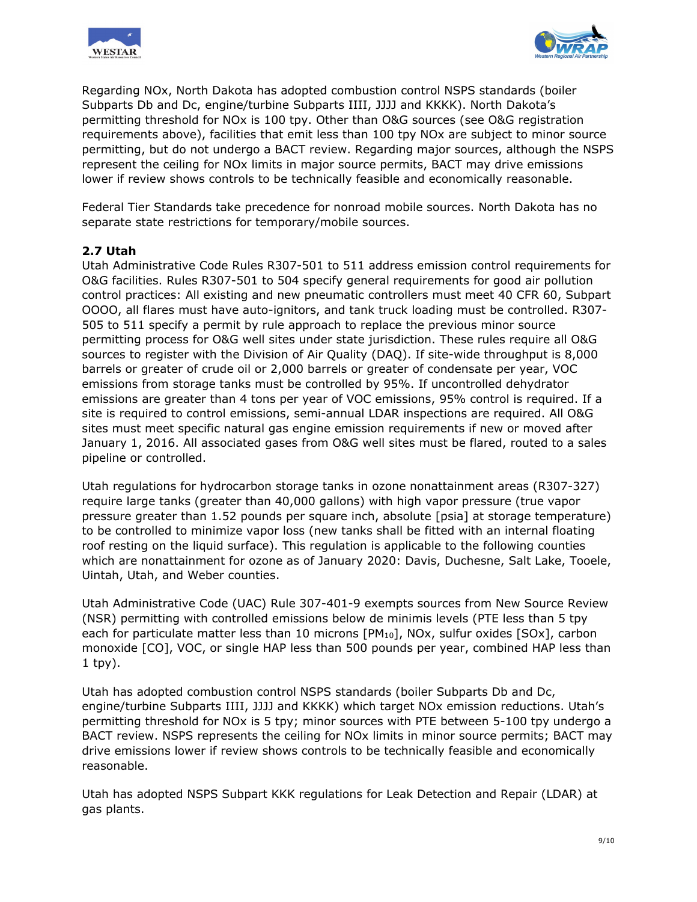



Regarding NOx, North Dakota has adopted combustion control NSPS standards (boiler Subparts Db and Dc, engine/turbine Subparts IIII, JJJJ and KKKK). North Dakota's permitting threshold for NOx is 100 tpy. Other than O&G sources (see O&G registration requirements above), facilities that emit less than 100 tpy NOx are subject to minor source permitting, but do not undergo a BACT review. Regarding major sources, although the NSPS represent the ceiling for NOx limits in major source permits, BACT may drive emissions lower if review shows controls to be technically feasible and economically reasonable.

Federal Tier Standards take precedence for nonroad mobile sources. North Dakota has no separate state restrictions for temporary/mobile sources.

# **2.7 Utah**

Utah Administrative Code Rules R307-501 to 511 address emission control requirements for O&G facilities. Rules R307-501 to 504 specify general requirements for good air pollution control practices: All existing and new pneumatic controllers must meet 40 CFR 60, Subpart OOOO, all flares must have auto-ignitors, and tank truck loading must be controlled. R307- 505 to 511 specify a permit by rule approach to replace the previous minor source permitting process for O&G well sites under state jurisdiction. These rules require all O&G sources to register with the Division of Air Quality (DAQ). If site-wide throughput is 8,000 barrels or greater of crude oil or 2,000 barrels or greater of condensate per year, VOC emissions from storage tanks must be controlled by 95%. If uncontrolled dehydrator emissions are greater than 4 tons per year of VOC emissions, 95% control is required. If a site is required to control emissions, semi-annual LDAR inspections are required. All O&G sites must meet specific natural gas engine emission requirements if new or moved after January 1, 2016. All associated gases from O&G well sites must be flared, routed to a sales pipeline or controlled.

Utah regulations for hydrocarbon storage tanks in ozone nonattainment areas (R307-327) require large tanks (greater than 40,000 gallons) with high vapor pressure (true vapor pressure greater than 1.52 pounds per square inch, absolute [psia] at storage temperature) to be controlled to minimize vapor loss (new tanks shall be fitted with an internal floating roof resting on the liquid surface). This regulation is applicable to the following counties which are nonattainment for ozone as of January 2020: Davis, Duchesne, Salt Lake, Tooele, Uintah, Utah, and Weber counties.

Utah Administrative Code (UAC) Rule 307-401-9 exempts sources from New Source Review (NSR) permitting with controlled emissions below de minimis levels (PTE less than 5 tpy each for particulate matter less than 10 microns [PM<sub>10</sub>], NOx, sulfur oxides [SOx], carbon monoxide [CO], VOC, or single HAP less than 500 pounds per year, combined HAP less than 1 tpy).

Utah has adopted combustion control NSPS standards (boiler Subparts Db and Dc, engine/turbine Subparts IIII, JJJJ and KKKK) which target NOx emission reductions. Utah's permitting threshold for NOx is 5 tpy; minor sources with PTE between 5-100 tpy undergo a BACT review. NSPS represents the ceiling for NOx limits in minor source permits; BACT may drive emissions lower if review shows controls to be technically feasible and economically reasonable.

Utah has adopted NSPS Subpart KKK regulations for Leak Detection and Repair (LDAR) at gas plants.